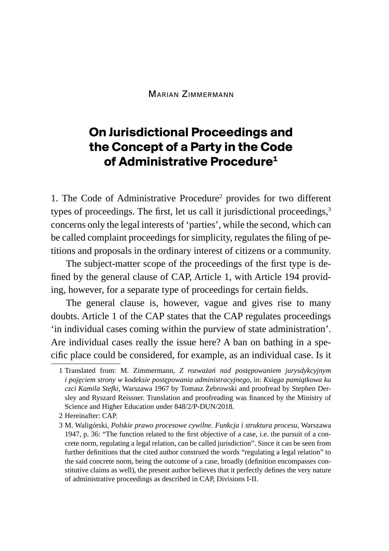Marian Zimmermann

## **On Jurisdictional Proceedings and the Concept of a Party in the Code of Administrative Procedure1**

1. The Code of Administrative Procedure<sup>2</sup> provides for two different types of proceedings. The first, let us call it jurisdictional proceedings,<sup>3</sup> concerns only the legal interests of 'parties', while the second, which can be called complaint proceedings for simplicity, regulates the filing of petitions and proposals in the ordinary interest of citizens or a community.

The subject-matter scope of the proceedings of the first type is defined by the general clause of CAP, Article 1, with Article 194 providing, however, for a separate type of proceedings for certain fields.

The general clause is, however, vague and gives rise to many doubts. Article 1 of the CAP states that the CAP regulates proceedings 'in individual cases coming within the purview of state administration'. Are individual cases really the issue here? A ban on bathing in a specific place could be considered, for example, as an individual case. Is it

<sup>1</sup> Translated from: M. Zimmermann, *Z rozważań nad postępowaniem jurysdykcyjnym i pojęciem strony w kodeksie postępowania administracyjnego*, in: *Księga pamiątkowa ku czci Kamila Stefki*, Warszawa 1967 by Tomasz Żebrowski and proofread by Stephen Dersley and Ryszard Reissner. Translation and proofreading was financed by the Ministry of Science and Higher Education under 848/2/P-DUN/2018.

<sup>2</sup> Hereinafter: CAP.

<sup>3</sup> M. Waligórski, *Polskie prawo procesowe cywilne. Funkcja i struktura procesu*, Warszawa 1947, p. 36: "The function related to the first objective of a case, i.e. the pursuit of a concrete norm, regulating a legal relation, can be called jurisdiction". Since it can be seen from further definitions that the cited author construed the words "regulating a legal relation" to the said concrete norm, being the outcome of a case, broadly (definition encompasses constitutive claims as well), the present author believes that it perfectly defines the very nature of administrative proceedings as described in CAP, Divisions I-II.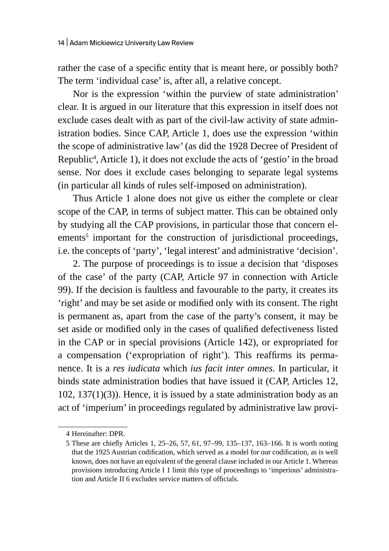rather the case of a specific entity that is meant here, or possibly both? The term 'individual case' is, after all, a relative concept.

Nor is the expression 'within the purview of state administration' clear. It is argued in our literature that this expression in itself does not exclude cases dealt with as part of the civil-law activity of state administration bodies. Since CAP, Article 1, does use the expression 'within the scope of administrative law' (as did the 1928 Decree of President of Republic<sup>4</sup>, Article 1), it does not exclude the acts of 'gestio' in the broad sense. Nor does it exclude cases belonging to separate legal systems (in particular all kinds of rules self-imposed on administration).

Thus Article 1 alone does not give us either the complete or clear scope of the CAP, in terms of subject matter. This can be obtained only by studying all the CAP provisions, in particular those that concern elements<sup>5</sup> important for the construction of jurisdictional proceedings, i.e. the concepts of 'party', 'legal interest' and administrative 'decision'.

2. The purpose of proceedings is to issue a decision that 'disposes of the case' of the party (CAP, Article 97 in connection with Article 99). If the decision is faultless and favourable to the party, it creates its 'right' and may be set aside or modified only with its consent. The right is permanent as, apart from the case of the party's consent, it may be set aside or modified only in the cases of qualified defectiveness listed in the CAP or in special provisions (Article 142), or expropriated for a compensation ('expropriation of right'). This reaffirms its permanence. It is a *res iudicata* which *ius facit inter omnes*. In particular, it binds state administration bodies that have issued it (CAP, Articles 12, 102, 137(1)(3)). Hence, it is issued by a state administration body as an act of 'imperium' in proceedings regulated by administrative law provi-

<sup>4</sup> Hereinafter: DPR.

<sup>5</sup> These are chiefly Articles 1, 25–26, 57, 61, 97–99, 135–137, 163–166. It is worth noting that the 1925 Austrian codification, which served as a model for our codification, as is well known, does not have an equivalent of the general clause included in our Article 1. Whereas provisions introducing Article I 1 limit this type of proceedings to 'imperious' administration and Article II 6 excludes service matters of officials.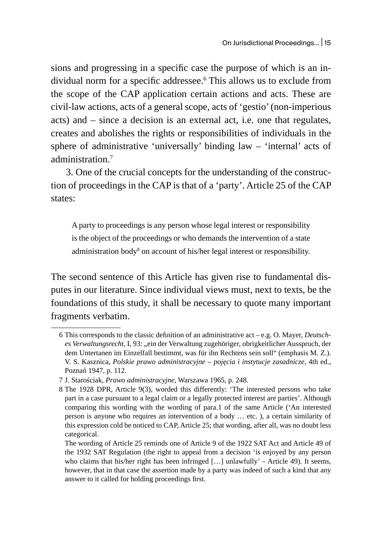sions and progressing in a specific case the purpose of which is an individual norm for a specific addressee.6 This allows us to exclude from the scope of the CAP application certain actions and acts. These are civil-law actions, acts of a general scope, acts of 'gestio' (non-imperious acts) and – since a decision is an external act, i.e. one that regulates, creates and abolishes the rights or responsibilities of individuals in the sphere of administrative 'universally' binding law – 'internal' acts of administration.<sup>7</sup>

3. One of the crucial concepts for the understanding of the construction of proceedings in the CAP is that of a 'party'. Article 25 of the CAP states:

A party to proceedings is any person whose legal interest or responsibility is the object of the proceedings or who demands the intervention of a state administration body<sup>8</sup> on account of his/her legal interest or responsibility.

The second sentence of this Article has given rise to fundamental disputes in our literature. Since individual views must, next to texts, be the foundations of this study, it shall be necessary to quote many important fragments verbatim.

<sup>6</sup> This corresponds to the classic definition of an administrative act – e.g. O. Mayer, *Deutsch*es Verwaltungsrecht, I, 93: "ein der Verwaltung zugehöriger, obrigkeitlicher Ausspruch, der dem Untertanen im Einzelfall bestimmt, was für ihn Rechtens sein soll" (emphasis M. Z.). V. S. Kasznica, *Polskie prawo administracyjne – pojęcia i instytucje zasadnicze*, 4th ed., Poznań 1947, p. 112.

<sup>7</sup> J. Starościak, *Prawo administracyjne*, Warszawa 1965, p. 248.

<sup>8</sup> The 1928 DPR, Article 9(3), worded this differently: 'The interested persons who take part in a case pursuant to a legal claim or a legally protected interest are parties'. Although comparing this wording with the wording of para.1 of the same Article ('An interested person is anyone who requires an intervention of a body … etc. ), a certain similarity of this expression cold be noticed to CAP, Article 25; that wording, after all, was no doubt less categorical.

The wording of Article 25 reminds one of Article 9 of the 1922 SAT Act and Article 49 of the 1932 SAT Regulation (the right to appeal from a decision 'is enjoyed by any person who claims that his/her right has been infringed […] unlawfully' – Article 49). It seems, however, that in that case the assertion made by a party was indeed of such a kind that any answer to it called for holding proceedings first.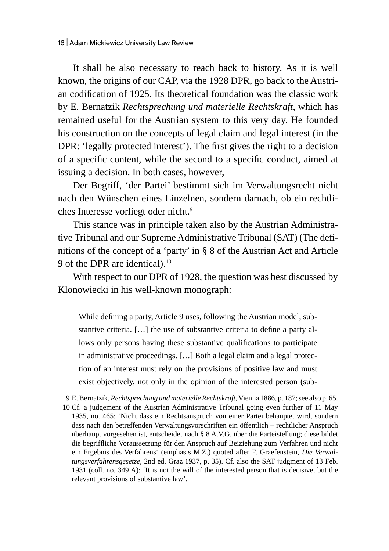It shall be also necessary to reach back to history. As it is well known, the origins of our CAP, via the 1928 DPR, go back to the Austrian codification of 1925. Its theoretical foundation was the classic work by E. Bernatzik *Rechtsprechung und materielle Rechtskraft*, which has remained useful for the Austrian system to this very day. He founded his construction on the concepts of legal claim and legal interest (in the DPR: 'legally protected interest'). The first gives the right to a decision of a specific content, while the second to a specific conduct, aimed at issuing a decision. In both cases, however,

Der Begriff, 'der Partei' bestimmt sich im Verwaltungsrecht nicht nach den Wünschen eines Einzelnen, sondern darnach, ob ein rechtliches Interesse vorliegt oder nicht.9

This stance was in principle taken also by the Austrian Administrative Tribunal and our Supreme Administrative Tribunal (SAT) (The definitions of the concept of a 'party' in § 8 of the Austrian Act and Article 9 of the DPR are identical).<sup>10</sup>

With respect to our DPR of 1928, the question was best discussed by Klonowiecki in his well-known monograph:

While defining a party, Article 9 uses, following the Austrian model, substantive criteria. […] the use of substantive criteria to define a party allows only persons having these substantive qualifications to participate in administrative proceedings. […] Both a legal claim and a legal protection of an interest must rely on the provisions of positive law and must exist objectively, not only in the opinion of the interested person (sub-

relevant provisions of substantive law'.

<sup>9</sup> E.Bernatzik, *Rechtsprechung und materielleRechtskraft*, Vienna 1886, p. 187; see also p. 65. 10 Cf. a judgement of the Austrian Administrative Tribunal going even further of 11 May 1935, no. 465: 'Nicht dass ein Rechtsanspruch von einer Partei behauptet wird, sondern dass nach den betreffenden Verwaltungsvorschriften ein öffentlich – rechtlicher Anspruch überhaupt vorgesehen ist, entscheidet nach § 8 A.V.G. über die Parteistellung; diese bildet die begriffliche Voraussetzung für den Anspruch auf Beiziehung zum Verfahren und nicht ein Ergebnis des Verfahrens' (emphasis M.Z.) quoted after F. Graefenstein, *Die Verwaltungsverfahrensgesetze*, 2nd ed. Graz 1937, p. 35). Cf. also the SAT judgment of 13 Feb. 1931 (coll. no. 349 A): 'It is not the will of the interested person that is decisive, but the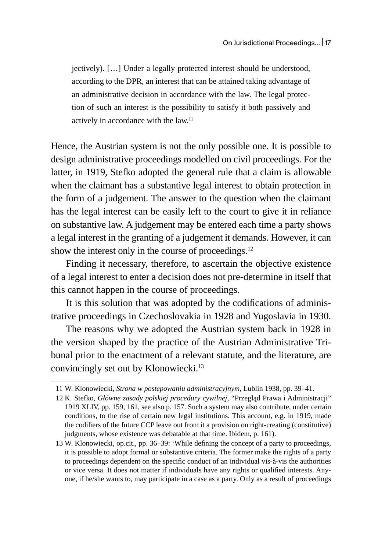jectively). […] Under a legally protected interest should be understood, according to the DPR, an interest that can be attained taking advantage of an administrative decision in accordance with the law. The legal protection of such an interest is the possibility to satisfy it both passively and actively in accordance with the law.<sup>11</sup>

Hence, the Austrian system is not the only possible one. It is possible to design administrative proceedings modelled on civil proceedings. For the latter, in 1919, Stefko adopted the general rule that a claim is allowable when the claimant has a substantive legal interest to obtain protection in the form of a judgement. The answer to the question when the claimant has the legal interest can be easily left to the court to give it in reliance on substantive law. A judgement may be entered each time a party shows a legal interest in the granting of a judgement it demands. However, it can show the interest only in the course of proceedings.<sup>12</sup>

Finding it necessary, therefore, to ascertain the objective existence of a legal interest to enter a decision does not pre-determine in itself that this cannot happen in the course of proceedings.

It is this solution that was adopted by the codifications of administrative proceedings in Czechoslovakia in 1928 and Yugoslavia in 1930.

The reasons why we adopted the Austrian system back in 1928 in the version shaped by the practice of the Austrian Administrative Tribunal prior to the enactment of a relevant statute, and the literature, are convincingly set out by Klonowiecki.<sup>13</sup>

<sup>11</sup> W. Klonowiecki, *Strona w postępowaniu administracyjnym*, Lublin 1938, pp. 39–41.

<sup>12</sup> K. Stefko, *Główne zasady polskiej procedury cywilnej*, "Przegląd Prawa i Administracji" 1919 XLIV, pp. 159, 161, see also p. 157. Such a system may also contribute, under certain conditions, to the rise of certain new legal institutions. This account, e.g. in 1919, made the codifiers of the future CCP leave out from it a provision on right-creating (constitutive) judgments, whose existence was debatable at that time. Ibidem, p. 161).

<sup>13</sup> W. Klonowiecki, op.cit., pp. 36–39: 'While defining the concept of a party to proceedings, it is possible to adopt formal or substantive criteria. The former make the rights of a party to proceedings dependent on the specific conduct of an individual vis-à-vis the authorities or vice versa. It does not matter if individuals have any rights or qualified interests. Anyone, if he/she wants to, may participate in a case as a party. Only as a result of proceedings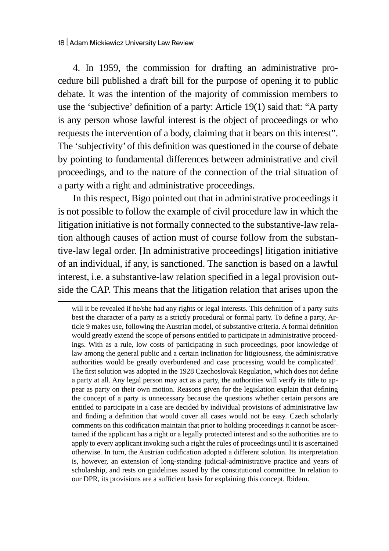4. In 1959, the commission for drafting an administrative procedure bill published a draft bill for the purpose of opening it to public debate. It was the intention of the majority of commission members to use the 'subjective' definition of a party: Article 19(1) said that: "A party is any person whose lawful interest is the object of proceedings or who requests the intervention of a body, claiming that it bears on this interest". The 'subjectivity' of this definition was questioned in the course of debate by pointing to fundamental differences between administrative and civil proceedings, and to the nature of the connection of the trial situation of a party with a right and administrative proceedings.

In this respect, Bigo pointed out that in administrative proceedings it is not possible to follow the example of civil procedure law in which the litigation initiative is not formally connected to the substantive-law relation although causes of action must of course follow from the substantive-law legal order. [In administrative proceedings] litigation initiative of an individual, if any, is sanctioned. The sanction is based on a lawful interest, i.e. a substantive-law relation specified in a legal provision outside the CAP. This means that the litigation relation that arises upon the

will it be revealed if he/she had any rights or legal interests. This definition of a party suits best the character of a party as a strictly procedural or formal party. To define a party, Article 9 makes use, following the Austrian model, of substantive criteria. A formal definition would greatly extend the scope of persons entitled to participate in administrative proceedings. With as a rule, low costs of participating in such proceedings, poor knowledge of law among the general public and a certain inclination for litigiousness, the administrative authorities would be greatly overburdened and case processing would be complicated'. The first solution was adopted in the 1928 Czechoslovak Regulation, which does not define a party at all. Any legal person may act as a party, the authorities will verify its title to appear as party on their own motion. Reasons given for the legislation explain that defining the concept of a party is unnecessary because the questions whether certain persons are entitled to participate in a case are decided by individual provisions of administrative law and finding a definition that would cover all cases would not be easy. Czech scholarly comments on this codification maintain that prior to holding proceedings it cannot be ascertained if the applicant has a right or a legally protected interest and so the authorities are to apply to every applicant invoking such a right the rules of proceedings until it is ascertained otherwise. In turn, the Austrian codification adopted a different solution. Its interpretation is, however, an extension of long-standing judicial-administrative practice and years of scholarship, and rests on guidelines issued by the constitutional committee. In relation to our DPR, its provisions are a sufficient basis for explaining this concept. Ibidem.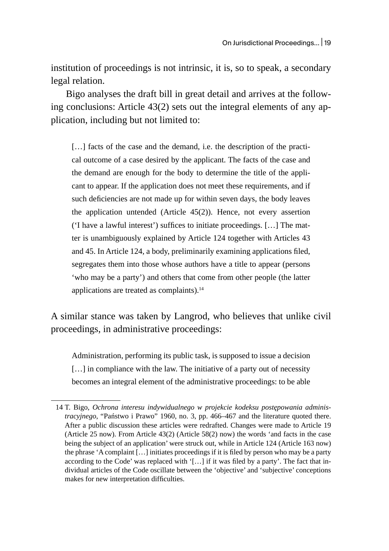institution of proceedings is not intrinsic, it is, so to speak, a secondary legal relation.

Bigo analyses the draft bill in great detail and arrives at the following conclusions: Article 43(2) sets out the integral elements of any application, including but not limited to:

[...] facts of the case and the demand, i.e. the description of the practical outcome of a case desired by the applicant. The facts of the case and the demand are enough for the body to determine the title of the applicant to appear. If the application does not meet these requirements, and if such deficiencies are not made up for within seven days, the body leaves the application untended (Article 45(2)). Hence, not every assertion ('I have a lawful interest') suffices to initiate proceedings. […] The matter is unambiguously explained by Article 124 together with Articles 43 and 45. In Article 124, a body, preliminarily examining applications filed, segregates them into those whose authors have a title to appear (persons 'who may be a party') and others that come from other people (the latter applications are treated as complaints).<sup>14</sup>

A similar stance was taken by Langrod, who believes that unlike civil proceedings, in administrative proceedings:

Administration, performing its public task, is supposed to issue a decision [...] in compliance with the law. The initiative of a party out of necessity becomes an integral element of the administrative proceedings: to be able

<sup>14</sup> T. Bigo, *Ochrona interesu indywidualnego w projekcie kodeksu postępowania administracyjnego*, "Państwo i Prawo" 1960, no. 3, pp. 466–467 and the literature quoted there. After a public discussion these articles were redrafted. Changes were made to Article 19 (Article 25 now). From Article 43(2) (Article 58(2) now) the words 'and facts in the case being the subject of an application' were struck out, while in Article 124 (Article 163 now) the phrase 'A complaint […] initiates proceedings if it is filed by person who may be a party according to the Code' was replaced with '[…] if it was filed by a party'. The fact that individual articles of the Code oscillate between the 'objective' and 'subjective' conceptions makes for new interpretation difficulties.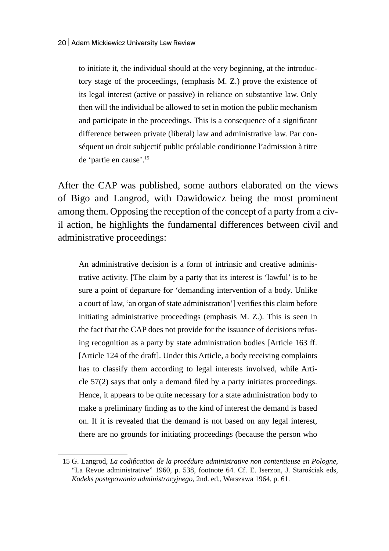to initiate it, the individual should at the very beginning, at the introductory stage of the proceedings, (emphasis M. Z.) prove the existence of its legal interest (active or passive) in reliance on substantive law. Only then will the individual be allowed to set in motion the public mechanism and participate in the proceedings. This is a consequence of a significant difference between private (liberal) law and administrative law. Par conséquent un droit subjectif public préalable conditionne l'admission à titre de 'partie en cause'.<sup>15</sup>

After the CAP was published, some authors elaborated on the views of Bigo and Langrod, with Dawidowicz being the most prominent among them. Opposing the reception of the concept of a party from a civil action, he highlights the fundamental differences between civil and administrative proceedings:

An administrative decision is a form of intrinsic and creative administrative activity. [The claim by a party that its interest is 'lawful' is to be sure a point of departure for 'demanding intervention of a body. Unlike a court of law, 'an organ of state administration'] verifies this claim before initiating administrative proceedings (emphasis M. Z.). This is seen in the fact that the CAP does not provide for the issuance of decisions refusing recognition as a party by state administration bodies [Article 163 ff. [Article 124 of the draft]. Under this Article, a body receiving complaints has to classify them according to legal interests involved, while Article 57(2) says that only a demand filed by a party initiates proceedings. Hence, it appears to be quite necessary for a state administration body to make a preliminary finding as to the kind of interest the demand is based on. If it is revealed that the demand is not based on any legal interest, there are no grounds for initiating proceedings (because the person who

<sup>15</sup> G. Langrod, *La codification de la procédure administrative non contentieuse en Pologne*, "La Revue administrative" 1960, p. 538, footnote 64. Cf. E. Iserzon, J. Starościak eds, *Kodeks postępowania administracyjnego*, 2nd. ed., Warszawa 1964, p. 61.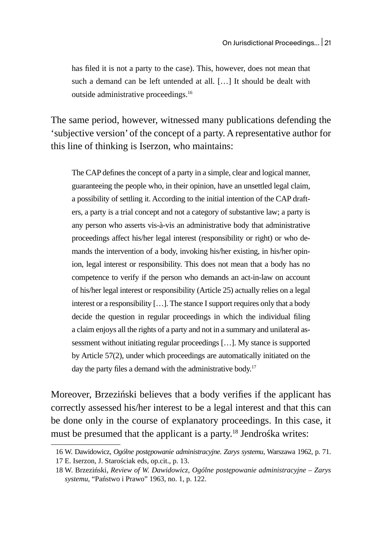has filed it is not a party to the case). This, however, does not mean that such a demand can be left untended at all. […] It should be dealt with outside administrative proceedings.<sup>16</sup>

The same period, however, witnessed many publications defending the 'subjective version' of the concept of a party. A representative author for this line of thinking is Iserzon, who maintains:

The CAP defines the concept of a party in a simple, clear and logical manner, guaranteeing the people who, in their opinion, have an unsettled legal claim, a possibility of settling it. According to the initial intention of the CAP drafters, a party is a trial concept and not a category of substantive law; a party is any person who asserts vis-à-vis an administrative body that administrative proceedings affect his/her legal interest (responsibility or right) or who demands the intervention of a body, invoking his/her existing, in his/her opinion, legal interest or responsibility. This does not mean that a body has no competence to verify if the person who demands an act-in-law on account of his/her legal interest or responsibility (Article 25) actually relies on a legal interest or a responsibility  $[\,\ldots]$ . The stance I support requires only that a body decide the question in regular proceedings in which the individual filing a claim enjoys all the rights of a party and not in a summary and unilateral assessment without initiating regular proceedings […]. My stance is supported by Article 57(2), under which proceedings are automatically initiated on the day the party files a demand with the administrative body.<sup>17</sup>

Moreover, Brzeziński believes that a body verifies if the applicant has correctly assessed his/her interest to be a legal interest and that this can be done only in the course of explanatory proceedings. In this case, it must be presumed that the applicant is a party.<sup>18</sup> Jendrośka writes:

<sup>16</sup> W. Dawidowicz, *Ogólne postępowanie administracyjne. Zarys systemu*, Warszawa 1962, p. 71. 17 E. Iserzon, J. Starościak eds, op.cit., p. 13.

<sup>18</sup> W. Brzeziński, *Review of W. Dawidowicz, Ogólne postępowanie administracyjne – Zarys systemu*, "Państwo i Prawo" 1963, no. 1, p. 122.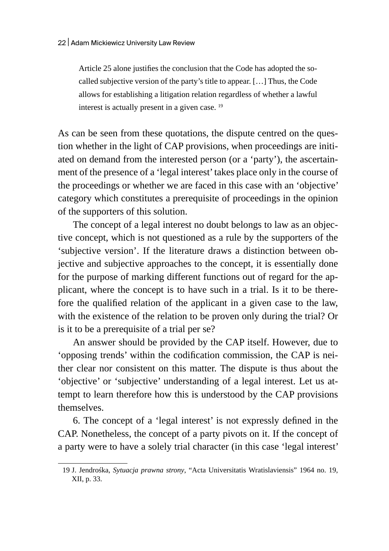Article 25 alone justifies the conclusion that the Code has adopted the socalled subjective version of the party's title to appear. […] Thus, the Code allows for establishing a litigation relation regardless of whether a lawful interest is actually present in a given case.<sup>19</sup>

As can be seen from these quotations, the dispute centred on the question whether in the light of CAP provisions, when proceedings are initiated on demand from the interested person (or a 'party'), the ascertainment of the presence of a 'legal interest' takes place only in the course of the proceedings or whether we are faced in this case with an 'objective' category which constitutes a prerequisite of proceedings in the opinion of the supporters of this solution.

The concept of a legal interest no doubt belongs to law as an objective concept, which is not questioned as a rule by the supporters of the 'subjective version'. If the literature draws a distinction between objective and subjective approaches to the concept, it is essentially done for the purpose of marking different functions out of regard for the applicant, where the concept is to have such in a trial. Is it to be therefore the qualified relation of the applicant in a given case to the law, with the existence of the relation to be proven only during the trial? Or is it to be a prerequisite of a trial per se?

An answer should be provided by the CAP itself. However, due to 'opposing trends' within the codification commission, the CAP is neither clear nor consistent on this matter. The dispute is thus about the 'objective' or 'subjective' understanding of a legal interest. Let us attempt to learn therefore how this is understood by the CAP provisions themselves.

6. The concept of a 'legal interest' is not expressly defined in the CAP. Nonetheless, the concept of a party pivots on it. If the concept of a party were to have a solely trial character (in this case 'legal interest'

<sup>19</sup> J. Jendrośka, *Sytuacja prawna strony*, "Acta Universitatis Wratislaviensis" 1964 no. 19, XII, p. 33.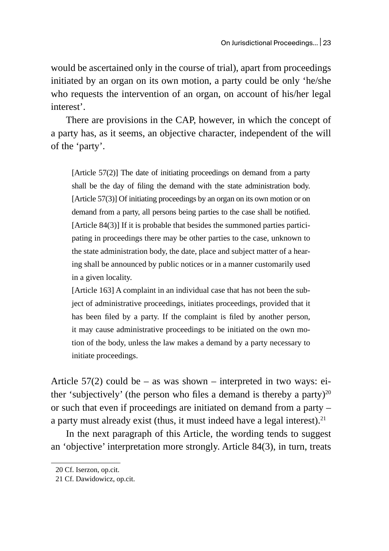would be ascertained only in the course of trial), apart from proceedings initiated by an organ on its own motion, a party could be only 'he/she who requests the intervention of an organ, on account of his/her legal interest'.

There are provisions in the CAP, however, in which the concept of a party has, as it seems, an objective character, independent of the will of the 'party'.

[Article 57(2)] The date of initiating proceedings on demand from a party shall be the day of filing the demand with the state administration body. [Article 57(3)] Of initiating proceedings by an organ on its own motion or on demand from a party, all persons being parties to the case shall be notified. [Article 84(3)] If it is probable that besides the summoned parties participating in proceedings there may be other parties to the case, unknown to the state administration body, the date, place and subject matter of a hearing shall be announced by public notices or in a manner customarily used in a given locality.

[Article 163] A complaint in an individual case that has not been the subject of administrative proceedings, initiates proceedings, provided that it has been filed by a party. If the complaint is filed by another person, it may cause administrative proceedings to be initiated on the own motion of the body, unless the law makes a demand by a party necessary to initiate proceedings.

Article  $57(2)$  could be – as was shown – interpreted in two ways: either 'subjectively' (the person who files a demand is thereby a party)<sup>20</sup> or such that even if proceedings are initiated on demand from a party – a party must already exist (thus, it must indeed have a legal interest). $21$ 

In the next paragraph of this Article, the wording tends to suggest an 'objective' interpretation more strongly. Article 84(3), in turn, treats

<sup>20</sup> Cf. Iserzon, op.cit.

<sup>21</sup> Cf. Dawidowicz, op.cit.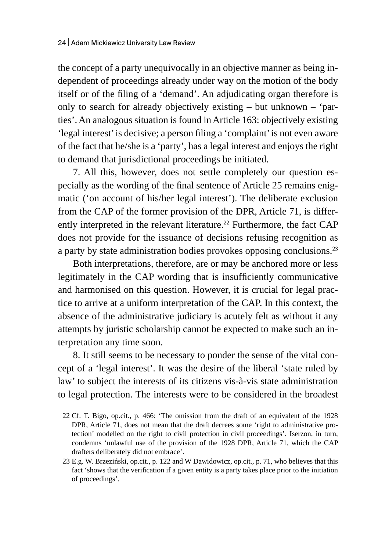the concept of a party unequivocally in an objective manner as being independent of proceedings already under way on the motion of the body itself or of the filing of a 'demand'. An adjudicating organ therefore is only to search for already objectively existing – but unknown – 'parties'. An analogous situation is found in Article 163: objectively existing 'legal interest' is decisive; a person filing a 'complaint' is not even aware of the fact that he/she is a 'party', has a legal interest and enjoys the right to demand that jurisdictional proceedings be initiated.

7. All this, however, does not settle completely our question especially as the wording of the final sentence of Article 25 remains enigmatic ('on account of his/her legal interest'). The deliberate exclusion from the CAP of the former provision of the DPR, Article 71, is differently interpreted in the relevant literature.<sup>22</sup> Furthermore, the fact CAP does not provide for the issuance of decisions refusing recognition as a party by state administration bodies provokes opposing conclusions.<sup>23</sup>

Both interpretations, therefore, are or may be anchored more or less legitimately in the CAP wording that is insufficiently communicative and harmonised on this question. However, it is crucial for legal practice to arrive at a uniform interpretation of the CAP. In this context, the absence of the administrative judiciary is acutely felt as without it any attempts by juristic scholarship cannot be expected to make such an interpretation any time soon.

8. It still seems to be necessary to ponder the sense of the vital concept of a 'legal interest'. It was the desire of the liberal 'state ruled by law' to subject the interests of its citizens vis-à-vis state administration to legal protection. The interests were to be considered in the broadest

<sup>22</sup> Cf. T. Bigo, op.cit., p. 466: 'The omission from the draft of an equivalent of the 1928 DPR, Article 71, does not mean that the draft decrees some 'right to administrative protection' modelled on the right to civil protection in civil proceedings'. Iserzon, in turn, condemns 'unlawful use of the provision of the 1928 DPR, Article 71, which the CAP drafters deliberately did not embrace'.

<sup>23</sup> E.g. W. Brzeziński, op.cit., p. 122 and W Dawidowicz, op.cit., p. 71, who believes that this fact 'shows that the verification if a given entity is a party takes place prior to the initiation of proceedings'.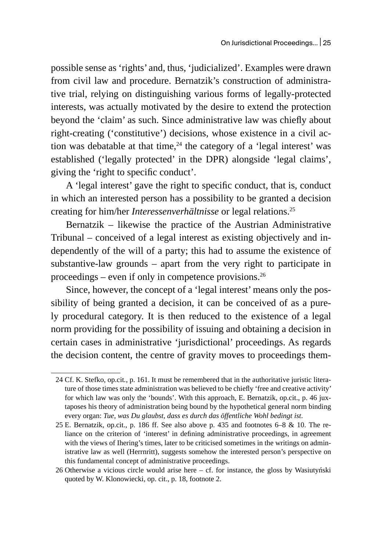possible sense as 'rights' and, thus, 'judicialized'. Examples were drawn from civil law and procedure. Bernatzik's construction of administrative trial, relying on distinguishing various forms of legally-protected interests, was actually motivated by the desire to extend the protection beyond the 'claim' as such. Since administrative law was chiefly about right-creating ('constitutive') decisions, whose existence in a civil action was debatable at that time, $24$  the category of a 'legal interest' was established ('legally protected' in the DPR) alongside 'legal claims', giving the 'right to specific conduct'.

A 'legal interest' gave the right to specific conduct, that is, conduct in which an interested person has a possibility to be granted a decision creating for him/her *Interessenverhältnisse* or legal relations.<sup>25</sup>

Bernatzik – likewise the practice of the Austrian Administrative Tribunal – conceived of a legal interest as existing objectively and independently of the will of a party; this had to assume the existence of substantive-law grounds – apart from the very right to participate in proceedings – even if only in competence provisions. $26$ 

Since, however, the concept of a 'legal interest' means only the possibility of being granted a decision, it can be conceived of as a purely procedural category. It is then reduced to the existence of a legal norm providing for the possibility of issuing and obtaining a decision in certain cases in administrative 'jurisdictional' proceedings. As regards the decision content, the centre of gravity moves to proceedings them-

<sup>24</sup> Cf. K. Stefko, op.cit*.*, p. 161. It must be remembered that in the authoritative juristic literature of those times state administration was believed to be chiefly 'free and creative activity' for which law was only the 'bounds'. With this approach, E. Bernatzik, op.cit., p. 46 juxtaposes his theory of administration being bound by the hypothetical general norm binding every organ: *Tue, was Du glaubst, dass es durch das öffentliche Wohl bedingt ist*.

<sup>25</sup> E. Bernatzik, op.cit., p. 186 ff. See also above p. 435 and footnotes 6–8 & 10. The reliance on the criterion of 'interest' in defining administrative proceedings, in agreement with the views of Ihering's times, later to be criticised sometimes in the writings on administrative law as well (Herrnritt), suggests somehow the interested person's perspective on this fundamental concept of administrative proceedings.

<sup>26</sup> Otherwise a vicious circle would arise here – cf. for instance, the gloss by Wasiutyński quoted by W. Klonowiecki, op. cit., p. 18, footnote 2.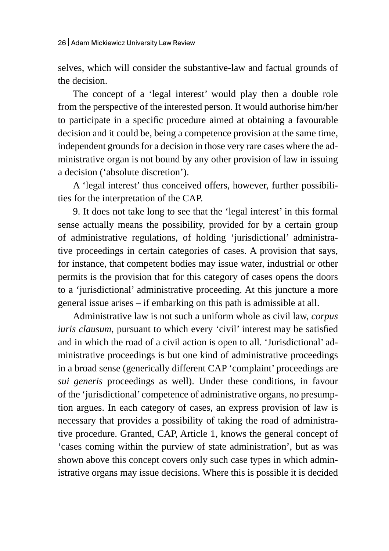selves, which will consider the substantive-law and factual grounds of the decision.

The concept of a 'legal interest' would play then a double role from the perspective of the interested person. It would authorise him/her to participate in a specific procedure aimed at obtaining a favourable decision and it could be, being a competence provision at the same time, independent grounds for a decision in those very rare cases where the administrative organ is not bound by any other provision of law in issuing a decision ('absolute discretion').

A 'legal interest' thus conceived offers, however, further possibilities for the interpretation of the CAP.

9. It does not take long to see that the 'legal interest' in this formal sense actually means the possibility, provided for by a certain group of administrative regulations, of holding 'jurisdictional' administrative proceedings in certain categories of cases. A provision that says, for instance, that competent bodies may issue water, industrial or other permits is the provision that for this category of cases opens the doors to a 'jurisdictional' administrative proceeding. At this juncture a more general issue arises – if embarking on this path is admissible at all.

Administrative law is not such a uniform whole as civil law, *corpus iuris clausum*, pursuant to which every 'civil' interest may be satisfied and in which the road of a civil action is open to all. 'Jurisdictional' administrative proceedings is but one kind of administrative proceedings in a broad sense (generically different CAP 'complaint' proceedings are *sui generis* proceedings as well). Under these conditions, in favour of the 'jurisdictional' competence of administrative organs, no presumption argues. In each category of cases, an express provision of law is necessary that provides a possibility of taking the road of administrative procedure. Granted, CAP, Article 1, knows the general concept of 'cases coming within the purview of state administration', but as was shown above this concept covers only such case types in which administrative organs may issue decisions. Where this is possible it is decided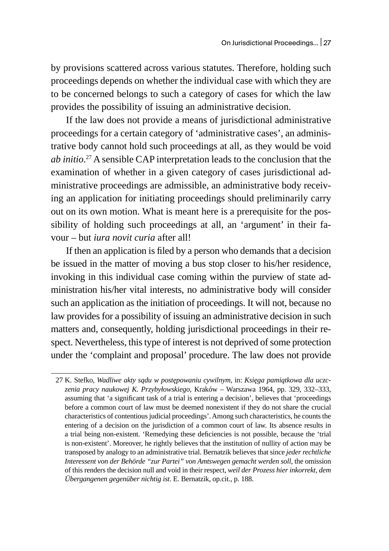by provisions scattered across various statutes. Therefore, holding such proceedings depends on whether the individual case with which they are to be concerned belongs to such a category of cases for which the law provides the possibility of issuing an administrative decision.

If the law does not provide a means of jurisdictional administrative proceedings for a certain category of 'administrative cases', an administrative body cannot hold such proceedings at all, as they would be void *ab initio*. 27 A sensible CAP interpretation leads to the conclusion that the examination of whether in a given category of cases jurisdictional administrative proceedings are admissible, an administrative body receiving an application for initiating proceedings should preliminarily carry out on its own motion. What is meant here is a prerequisite for the possibility of holding such proceedings at all, an 'argument' in their favour – but *iura novit curia* after all!

If then an application is filed by a person who demands that a decision be issued in the matter of moving a bus stop closer to his/her residence, invoking in this individual case coming within the purview of state administration his/her vital interests, no administrative body will consider such an application as the initiation of proceedings. It will not, because no law provides for a possibility of issuing an administrative decision in such matters and, consequently, holding jurisdictional proceedings in their respect. Nevertheless, this type of interest is not deprived of some protection under the 'complaint and proposal' procedure. The law does not provide

<sup>27</sup> K. Stefko, *Wadliwe akty sądu w postępowaniu cywilnym*, in: *Księga pamiątkowa dla uczczenia pracy naukowej K. Przybyłowskiego*, Kraków – Warszawa 1964, pp. 329, 332–333, assuming that 'a significant task of a trial is entering a decision', believes that 'proceedings before a common court of law must be deemed nonexistent if they do not share the crucial characteristics of contentious judicial proceedings'. Among such characteristics, he counts the entering of a decision on the jurisdiction of a common court of law. Its absence results in a trial being non-existent. 'Remedying these deficiencies is not possible, because the 'trial is non-existent'. Moreover, he rightly believes that the institution of nullity of action may be transposed by analogy to an administrative trial. Bernatzik believes that since *jeder rechtliche Interessent von der Behörde "zur Partei" von Amtswegen gemacht werden soll*, the omission of this renders the decision null and void in their respect, *weil der Prozess hier inkorrekt, dem Übergangenen gegenüber nichtig ist*. E. Bernatzik, op.cit., p. 188.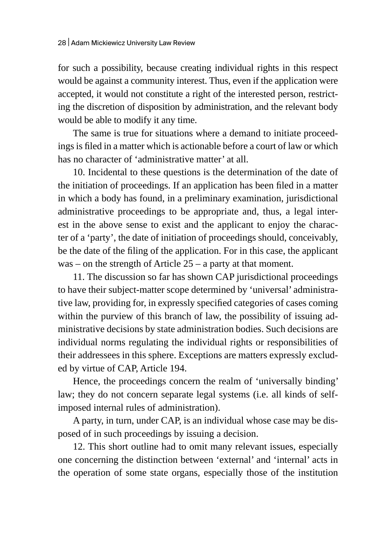for such a possibility, because creating individual rights in this respect would be against a community interest. Thus, even if the application were accepted, it would not constitute a right of the interested person, restricting the discretion of disposition by administration, and the relevant body would be able to modify it any time.

The same is true for situations where a demand to initiate proceedings is filed in a matter which is actionable before a court of law or which has no character of 'administrative matter' at all.

10. Incidental to these questions is the determination of the date of the initiation of proceedings. If an application has been filed in a matter in which a body has found, in a preliminary examination, jurisdictional administrative proceedings to be appropriate and, thus, a legal interest in the above sense to exist and the applicant to enjoy the character of a 'party', the date of initiation of proceedings should, conceivably, be the date of the filing of the application. For in this case, the applicant was – on the strength of Article 25 – a party at that moment.

11. The discussion so far has shown CAP jurisdictional proceedings to have their subject-matter scope determined by 'universal' administrative law, providing for, in expressly specified categories of cases coming within the purview of this branch of law, the possibility of issuing administrative decisions by state administration bodies. Such decisions are individual norms regulating the individual rights or responsibilities of their addressees in this sphere. Exceptions are matters expressly excluded by virtue of CAP, Article 194.

Hence, the proceedings concern the realm of 'universally binding' law; they do not concern separate legal systems (i.e. all kinds of selfimposed internal rules of administration).

A party, in turn, under CAP, is an individual whose case may be disposed of in such proceedings by issuing a decision.

12. This short outline had to omit many relevant issues, especially one concerning the distinction between 'external' and 'internal' acts in the operation of some state organs, especially those of the institution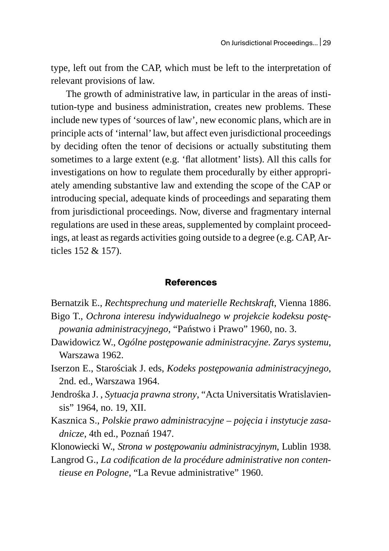type, left out from the CAP, which must be left to the interpretation of relevant provisions of law.

The growth of administrative law, in particular in the areas of institution-type and business administration, creates new problems. These include new types of 'sources of law', new economic plans, which are in principle acts of 'internal' law, but affect even jurisdictional proceedings by deciding often the tenor of decisions or actually substituting them sometimes to a large extent (e.g. 'flat allotment' lists). All this calls for investigations on how to regulate them procedurally by either appropriately amending substantive law and extending the scope of the CAP or introducing special, adequate kinds of proceedings and separating them from jurisdictional proceedings. Now, diverse and fragmentary internal regulations are used in these areas, supplemented by complaint proceedings, at least as regards activities going outside to a degree (e.g. CAP,Articles 152 & 157).

## **References**

- Bernatzik E., *Rechtsprechung und materielle Rechtskraft*, Vienna 1886. Bigo T., *Ochrona interesu indywidualnego w projekcie kodeksu postępowania administracyjnego*, "Państwo i Prawo" 1960, no. 3.
- Dawidowicz W., *Ogólne postępowanie administracyjne. Zarys systemu*, Warszawa 1962.
- Iserzon E., Starościak J. eds, *Kodeks postępowania administracyjnego*, 2nd. ed., Warszawa 1964.
- Jendrośka J. , *Sytuacja prawna strony*, "Acta Universitatis Wratislaviensis" 1964, no. 19, XII.
- Kasznica S., *Polskie prawo administracyjne – pojęcia i instytucje zasadnicze*, 4th ed., Poznań 1947.
- Klonowiecki W., *Strona w postępowaniu administracyjnym*, Lublin 1938.
- Langrod G., *La codification de la procédure administrative non contentieuse en Pologne*, "La Revue administrative" 1960.